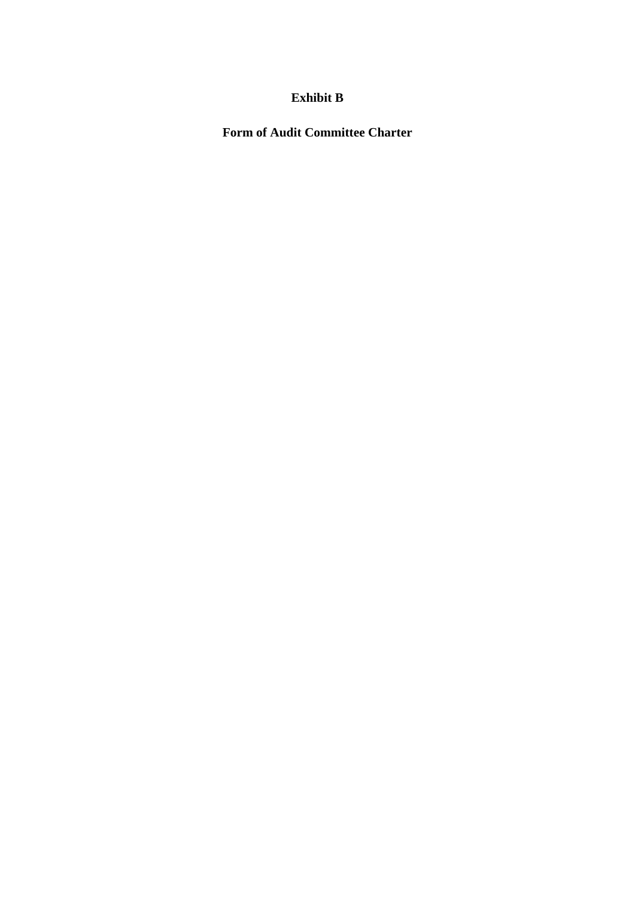# **Exhibit B**

**Form of Audit Committee Charter**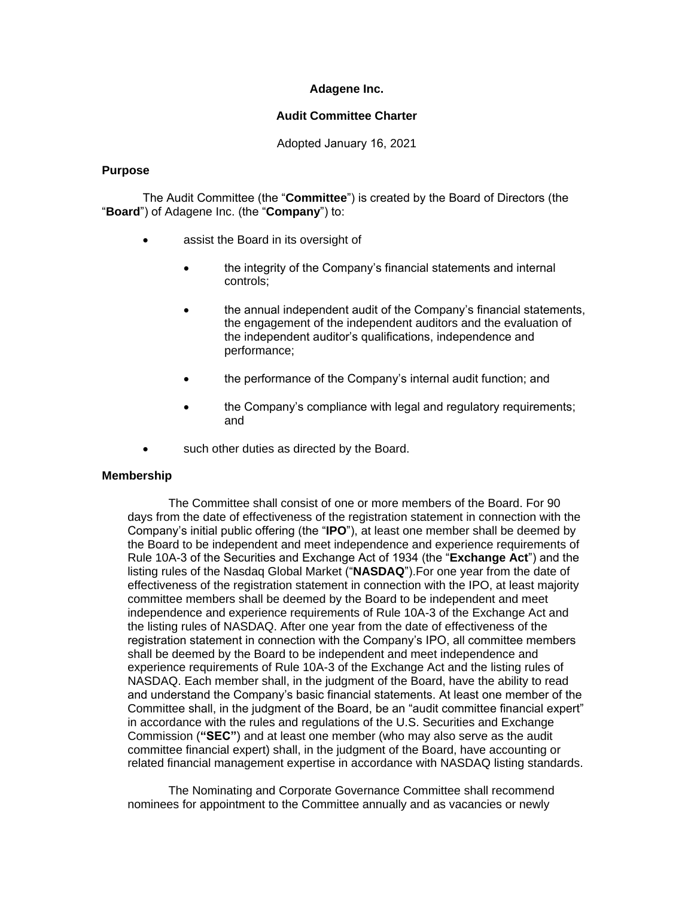# **Adagene Inc.**

# **Audit Committee Charter**

Adopted January 16, 2021

### **Purpose**

The Audit Committee (the "**Committee**") is created by the Board of Directors (the "**Board**") of Adagene Inc. (the "**Company**") to:

- assist the Board in its oversight of
	- the integrity of the Company's financial statements and internal controls;
	- the annual independent audit of the Company's financial statements, the engagement of the independent auditors and the evaluation of the independent auditor's qualifications, independence and performance;
	- the performance of the Company's internal audit function; and
	- the Company's compliance with legal and regulatory requirements; and
- such other duties as directed by the Board.

# **Membership**

The Committee shall consist of one or more members of the Board. For 90 days from the date of effectiveness of the registration statement in connection with the Company's initial public offering (the "**IPO**"), at least one member shall be deemed by the Board to be independent and meet independence and experience requirements of Rule 10A-3 of the Securities and Exchange Act of 1934 (the "**Exchange Act**") and the listing rules of the Nasdaq Global Market ("**NASDAQ**").For one year from the date of effectiveness of the registration statement in connection with the IPO, at least majority committee members shall be deemed by the Board to be independent and meet independence and experience requirements of Rule 10A-3 of the Exchange Act and the listing rules of NASDAQ. After one year from the date of effectiveness of the registration statement in connection with the Company's IPO, all committee members shall be deemed by the Board to be independent and meet independence and experience requirements of Rule 10A-3 of the Exchange Act and the listing rules of NASDAQ. Each member shall, in the judgment of the Board, have the ability to read and understand the Company's basic financial statements. At least one member of the Committee shall, in the judgment of the Board, be an "audit committee financial expert" in accordance with the rules and regulations of the U.S. Securities and Exchange Commission (**"SEC"**) and at least one member (who may also serve as the audit committee financial expert) shall, in the judgment of the Board, have accounting or related financial management expertise in accordance with NASDAQ listing standards.

The Nominating and Corporate Governance Committee shall recommend nominees for appointment to the Committee annually and as vacancies or newly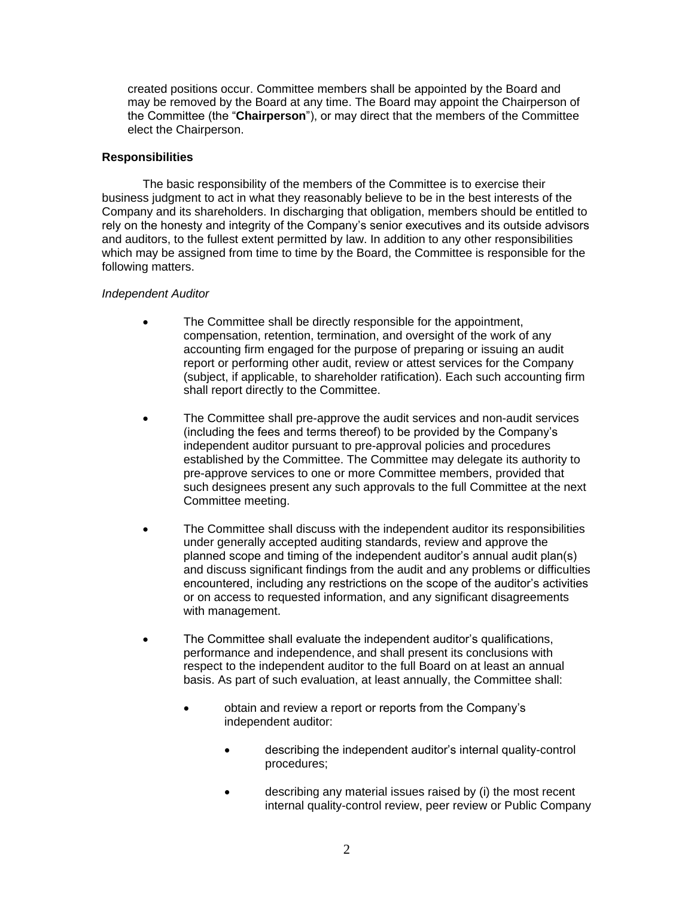created positions occur. Committee members shall be appointed by the Board and may be removed by the Board at any time. The Board may appoint the Chairperson of the Committee (the "**Chairperson**"), or may direct that the members of the Committee elect the Chairperson.

## **Responsibilities**

The basic responsibility of the members of the Committee is to exercise their business judgment to act in what they reasonably believe to be in the best interests of the Company and its shareholders. In discharging that obligation, members should be entitled to rely on the honesty and integrity of the Company's senior executives and its outside advisors and auditors, to the fullest extent permitted by law. In addition to any other responsibilities which may be assigned from time to time by the Board, the Committee is responsible for the following matters.

### *Independent Auditor*

- The Committee shall be directly responsible for the appointment, compensation, retention, termination, and oversight of the work of any accounting firm engaged for the purpose of preparing or issuing an audit report or performing other audit, review or attest services for the Company (subject, if applicable, to shareholder ratification). Each such accounting firm shall report directly to the Committee.
- The Committee shall pre-approve the audit services and non-audit services (including the fees and terms thereof) to be provided by the Company's independent auditor pursuant to pre-approval policies and procedures established by the Committee. The Committee may delegate its authority to pre-approve services to one or more Committee members, provided that such designees present any such approvals to the full Committee at the next Committee meeting.
- The Committee shall discuss with the independent auditor its responsibilities under generally accepted auditing standards, review and approve the planned scope and timing of the independent auditor's annual audit plan(s) and discuss significant findings from the audit and any problems or difficulties encountered, including any restrictions on the scope of the auditor's activities or on access to requested information, and any significant disagreements with management.
- The Committee shall evaluate the independent auditor's qualifications, performance and independence, and shall present its conclusions with respect to the independent auditor to the full Board on at least an annual basis. As part of such evaluation, at least annually, the Committee shall:
	- obtain and review a report or reports from the Company's independent auditor:
		- describing the independent auditor's internal quality-control procedures;
		- describing any material issues raised by (i) the most recent internal quality-control review, peer review or Public Company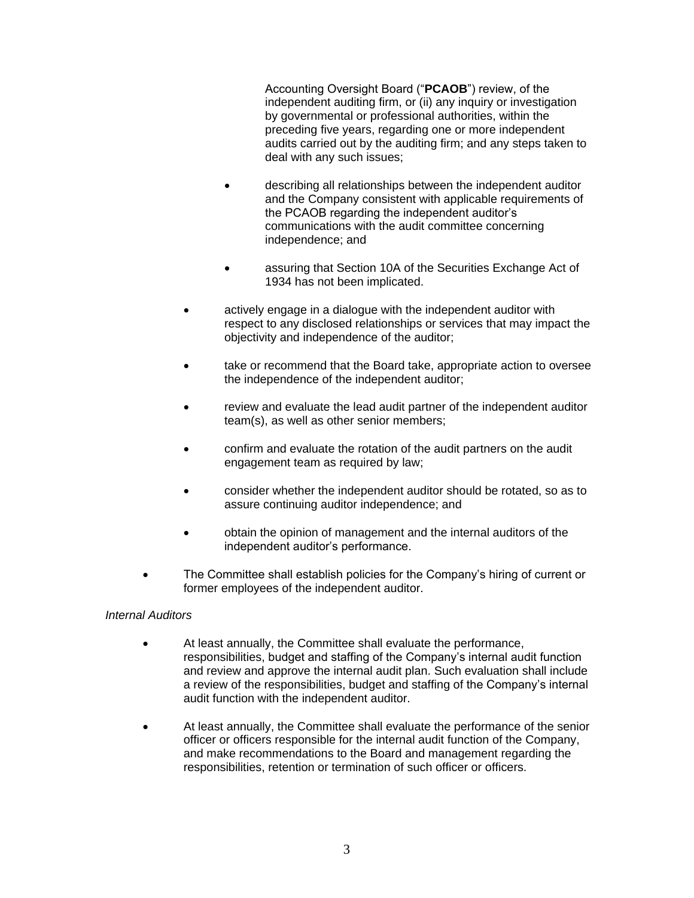Accounting Oversight Board ("**PCAOB**") review, of the independent auditing firm, or (ii) any inquiry or investigation by governmental or professional authorities, within the preceding five years, regarding one or more independent audits carried out by the auditing firm; and any steps taken to deal with any such issues;

- describing all relationships between the independent auditor and the Company consistent with applicable requirements of the PCAOB regarding the independent auditor's communications with the audit committee concerning independence; and
- assuring that Section 10A of the Securities Exchange Act of 1934 has not been implicated.
- actively engage in a dialogue with the independent auditor with respect to any disclosed relationships or services that may impact the objectivity and independence of the auditor;
- take or recommend that the Board take, appropriate action to oversee the independence of the independent auditor;
- review and evaluate the lead audit partner of the independent auditor team(s), as well as other senior members;
- confirm and evaluate the rotation of the audit partners on the audit engagement team as required by law;
- consider whether the independent auditor should be rotated, so as to assure continuing auditor independence; and
- obtain the opinion of management and the internal auditors of the independent auditor's performance.
- The Committee shall establish policies for the Company's hiring of current or former employees of the independent auditor.

# *Internal Auditors*

- At least annually, the Committee shall evaluate the performance, responsibilities, budget and staffing of the Company's internal audit function and review and approve the internal audit plan. Such evaluation shall include a review of the responsibilities, budget and staffing of the Company's internal audit function with the independent auditor.
- At least annually, the Committee shall evaluate the performance of the senior officer or officers responsible for the internal audit function of the Company, and make recommendations to the Board and management regarding the responsibilities, retention or termination of such officer or officers.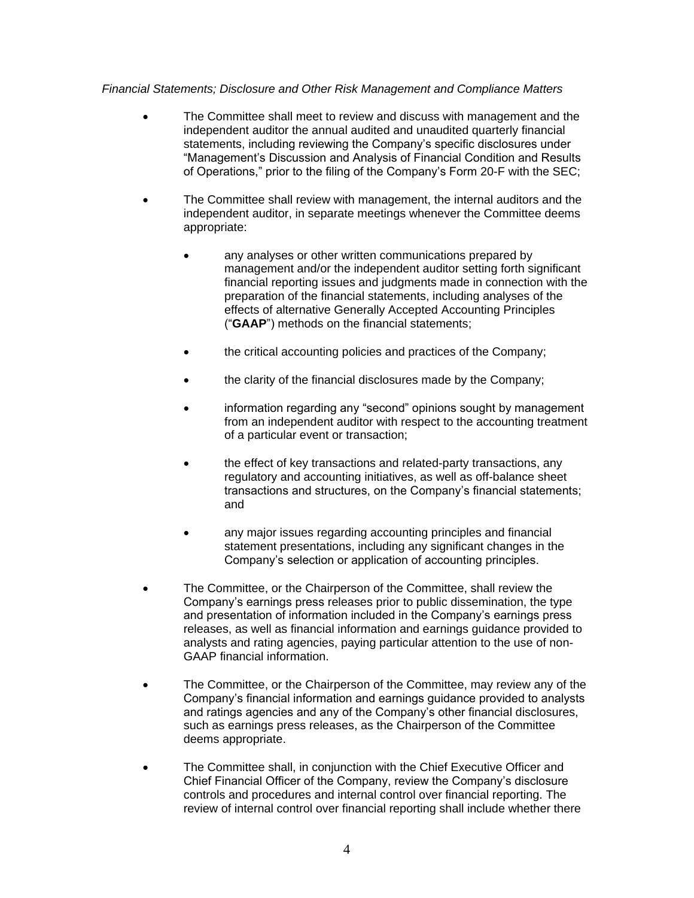# *Financial Statements; Disclosure and Other Risk Management and Compliance Matters*

- The Committee shall meet to review and discuss with management and the independent auditor the annual audited and unaudited quarterly financial statements, including reviewing the Company's specific disclosures under "Management's Discussion and Analysis of Financial Condition and Results of Operations," prior to the filing of the Company's Form 20-F with the SEC;
- The Committee shall review with management, the internal auditors and the independent auditor, in separate meetings whenever the Committee deems appropriate:
	- any analyses or other written communications prepared by management and/or the independent auditor setting forth significant financial reporting issues and judgments made in connection with the preparation of the financial statements, including analyses of the effects of alternative Generally Accepted Accounting Principles ("**GAAP**") methods on the financial statements;
	- the critical accounting policies and practices of the Company;
	- the clarity of the financial disclosures made by the Company;
	- information regarding any "second" opinions sought by management from an independent auditor with respect to the accounting treatment of a particular event or transaction;
	- the effect of key transactions and related-party transactions, any regulatory and accounting initiatives, as well as off-balance sheet transactions and structures, on the Company's financial statements; and
	- any major issues regarding accounting principles and financial statement presentations, including any significant changes in the Company's selection or application of accounting principles.
- The Committee, or the Chairperson of the Committee, shall review the Company's earnings press releases prior to public dissemination, the type and presentation of information included in the Company's earnings press releases, as well as financial information and earnings guidance provided to analysts and rating agencies, paying particular attention to the use of non-GAAP financial information.
- The Committee, or the Chairperson of the Committee, may review any of the Company's financial information and earnings guidance provided to analysts and ratings agencies and any of the Company's other financial disclosures, such as earnings press releases, as the Chairperson of the Committee deems appropriate.
- The Committee shall, in conjunction with the Chief Executive Officer and Chief Financial Officer of the Company, review the Company's disclosure controls and procedures and internal control over financial reporting. The review of internal control over financial reporting shall include whether there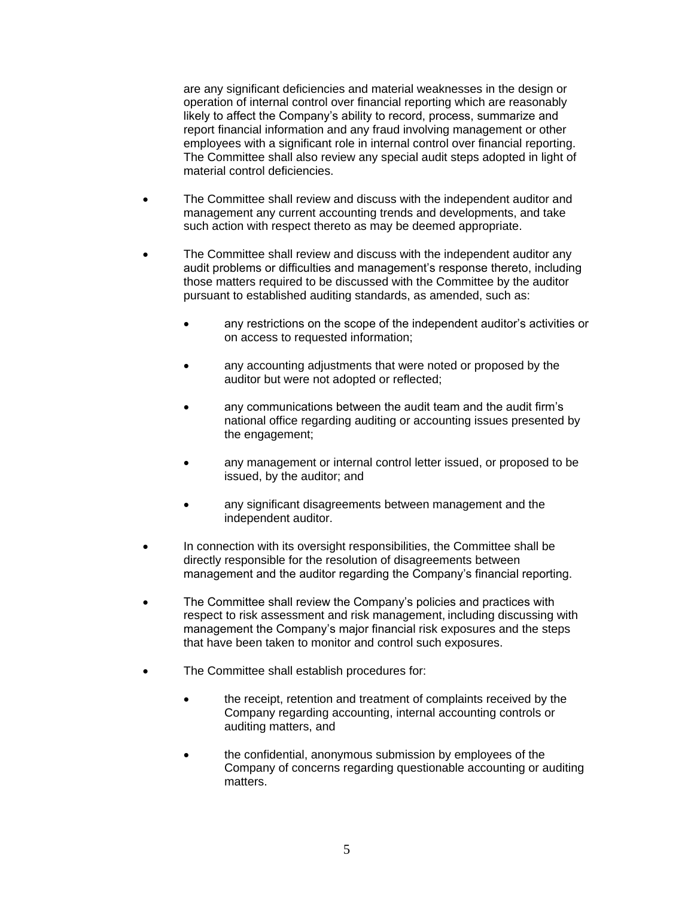are any significant deficiencies and material weaknesses in the design or operation of internal control over financial reporting which are reasonably likely to affect the Company's ability to record, process, summarize and report financial information and any fraud involving management or other employees with a significant role in internal control over financial reporting. The Committee shall also review any special audit steps adopted in light of material control deficiencies.

- The Committee shall review and discuss with the independent auditor and management any current accounting trends and developments, and take such action with respect thereto as may be deemed appropriate.
- The Committee shall review and discuss with the independent auditor any audit problems or difficulties and management's response thereto, including those matters required to be discussed with the Committee by the auditor pursuant to established auditing standards, as amended, such as:
	- any restrictions on the scope of the independent auditor's activities or on access to requested information;
	- any accounting adjustments that were noted or proposed by the auditor but were not adopted or reflected;
	- any communications between the audit team and the audit firm's national office regarding auditing or accounting issues presented by the engagement;
	- any management or internal control letter issued, or proposed to be issued, by the auditor; and
	- any significant disagreements between management and the independent auditor.
- In connection with its oversight responsibilities, the Committee shall be directly responsible for the resolution of disagreements between management and the auditor regarding the Company's financial reporting.
- The Committee shall review the Company's policies and practices with respect to risk assessment and risk management, including discussing with management the Company's major financial risk exposures and the steps that have been taken to monitor and control such exposures.
- The Committee shall establish procedures for:
	- the receipt, retention and treatment of complaints received by the Company regarding accounting, internal accounting controls or auditing matters, and
	- the confidential, anonymous submission by employees of the Company of concerns regarding questionable accounting or auditing matters.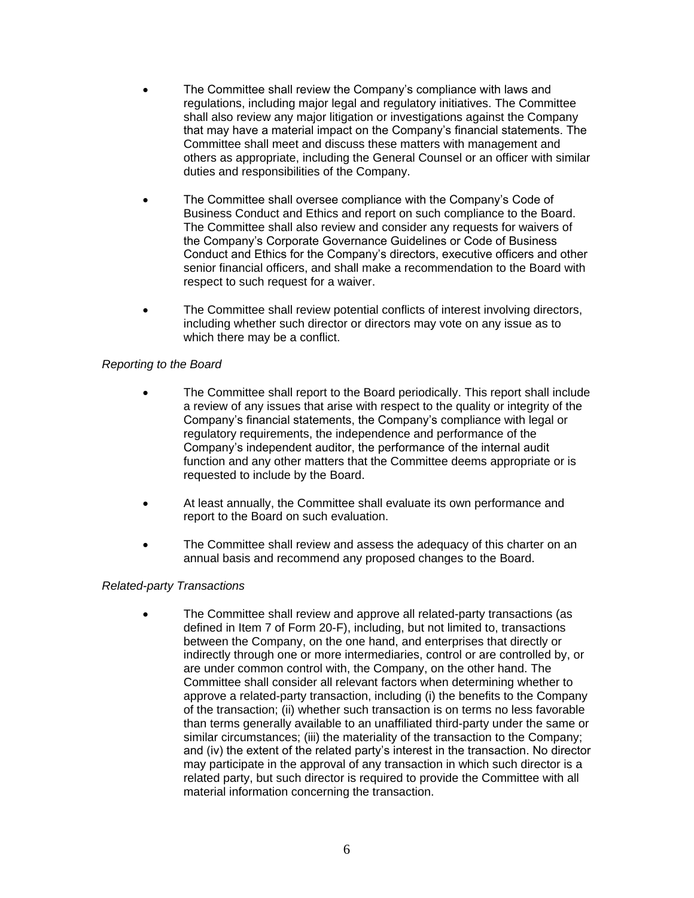- The Committee shall review the Company's compliance with laws and regulations, including major legal and regulatory initiatives. The Committee shall also review any major litigation or investigations against the Company that may have a material impact on the Company's financial statements. The Committee shall meet and discuss these matters with management and others as appropriate, including the General Counsel or an officer with similar duties and responsibilities of the Company.
- The Committee shall oversee compliance with the Company's Code of Business Conduct and Ethics and report on such compliance to the Board. The Committee shall also review and consider any requests for waivers of the Company's Corporate Governance Guidelines or Code of Business Conduct and Ethics for the Company's directors, executive officers and other senior financial officers, and shall make a recommendation to the Board with respect to such request for a waiver.
- The Committee shall review potential conflicts of interest involving directors, including whether such director or directors may vote on any issue as to which there may be a conflict.

# *Reporting to the Board*

- The Committee shall report to the Board periodically. This report shall include a review of any issues that arise with respect to the quality or integrity of the Company's financial statements, the Company's compliance with legal or regulatory requirements, the independence and performance of the Company's independent auditor, the performance of the internal audit function and any other matters that the Committee deems appropriate or is requested to include by the Board.
- At least annually, the Committee shall evaluate its own performance and report to the Board on such evaluation.
- The Committee shall review and assess the adequacy of this charter on an annual basis and recommend any proposed changes to the Board.

# *Related-party Transactions*

 The Committee shall review and approve all related-party transactions (as defined in Item 7 of Form 20-F), including, but not limited to, transactions between the Company, on the one hand, and enterprises that directly or indirectly through one or more intermediaries, control or are controlled by, or are under common control with, the Company, on the other hand. The Committee shall consider all relevant factors when determining whether to approve a related-party transaction, including (i) the benefits to the Company of the transaction; (ii) whether such transaction is on terms no less favorable than terms generally available to an unaffiliated third-party under the same or similar circumstances; (iii) the materiality of the transaction to the Company; and (iv) the extent of the related party's interest in the transaction. No director may participate in the approval of any transaction in which such director is a related party, but such director is required to provide the Committee with all material information concerning the transaction.